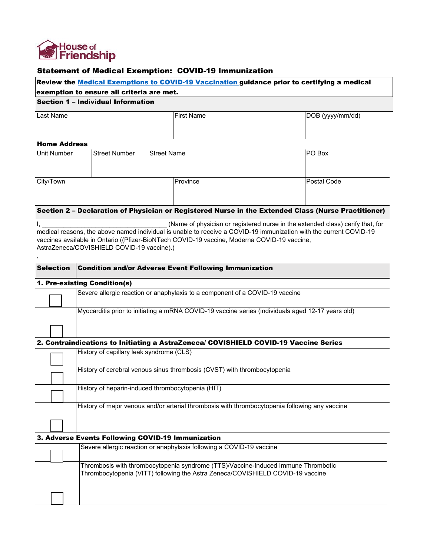

## Statement of Medical Exemption: COVID-19 Immunization

|                     |                                                                                 |                                                                                                   | Review the Medical Exemptions to COVID-19 Vaccination guidance prior to certifying a medical                       |
|---------------------|---------------------------------------------------------------------------------|---------------------------------------------------------------------------------------------------|--------------------------------------------------------------------------------------------------------------------|
|                     | exemption to ensure all criteria are met.<br>Section 1 - Individual Information |                                                                                                   |                                                                                                                    |
|                     |                                                                                 |                                                                                                   |                                                                                                                    |
| Last Name           |                                                                                 | <b>First Name</b>                                                                                 | DOB (yyyy/mm/dd)                                                                                                   |
|                     |                                                                                 |                                                                                                   |                                                                                                                    |
| <b>Home Address</b> |                                                                                 |                                                                                                   |                                                                                                                    |
| Unit Number         | <b>Street Number</b>                                                            | <b>Street Name</b>                                                                                | PO Box                                                                                                             |
| City/Town           |                                                                                 | Province                                                                                          | <b>Postal Code</b>                                                                                                 |
|                     |                                                                                 |                                                                                                   |                                                                                                                    |
|                     |                                                                                 |                                                                                                   | Section 2 - Declaration of Physician or Registered Nurse in the Extended Class (Nurse Practitioner)                |
|                     |                                                                                 |                                                                                                   |                                                                                                                    |
|                     |                                                                                 |                                                                                                   | (Name of physician or registered nurse in the extended class) cerify that, for                                     |
|                     |                                                                                 |                                                                                                   | medical reasons, the above named individual is unable to receive a COVID-19 immunization with the current COVID-19 |
|                     |                                                                                 | vaccines available in Ontario ((Pfizer-BioNTech COVID-19 vaccine, Moderna COVID-19 vaccine,       |                                                                                                                    |
|                     | AstraZeneca/COVISHIELD COVID-19 vaccine).)                                      |                                                                                                   |                                                                                                                    |
|                     |                                                                                 |                                                                                                   |                                                                                                                    |
| <b>Selection</b>    |                                                                                 | <b>Condition and/or Adverse Event Following Immunization</b>                                      |                                                                                                                    |
|                     | 1. Pre-existing Condition(s)                                                    |                                                                                                   |                                                                                                                    |
|                     |                                                                                 | Severe allergic reaction or anaphylaxis to a component of a COVID-19 vaccine                      |                                                                                                                    |
|                     |                                                                                 | Myocarditis prior to initiating a mRNA COVID-19 vaccine series (individuals aged 12-17 years old) |                                                                                                                    |
|                     |                                                                                 |                                                                                                   |                                                                                                                    |
|                     |                                                                                 | 2. Contraindications to Initiating a AstraZeneca/ COVISHIELD COVID-19 Vaccine Series              |                                                                                                                    |
|                     | History of capillary leak syndrome (CLS)                                        |                                                                                                   |                                                                                                                    |
|                     |                                                                                 |                                                                                                   |                                                                                                                    |
|                     |                                                                                 | History of cerebral venous sinus thrombosis (CVST) with thrombocytopenia                          |                                                                                                                    |

|<br>|History of heparin-induced thrombocytopenia (HIT)|

History of major venous and/or arterial thrombosis with thrombocytopenia following any vaccine

3. Adverse Events Following COVID-19 Immunization

|  | Severe allergic reaction or anaphylaxis following a COVID-19 vaccine                                                                                                |
|--|---------------------------------------------------------------------------------------------------------------------------------------------------------------------|
|  | Thrombosis with thrombocytopenia syndrome (TTS)/Vaccine-Induced Immune Thrombotic<br>Thrombocytopenia (VITT) following the Astra Zeneca/COVISHIELD COVID-19 vaccine |
|  |                                                                                                                                                                     |